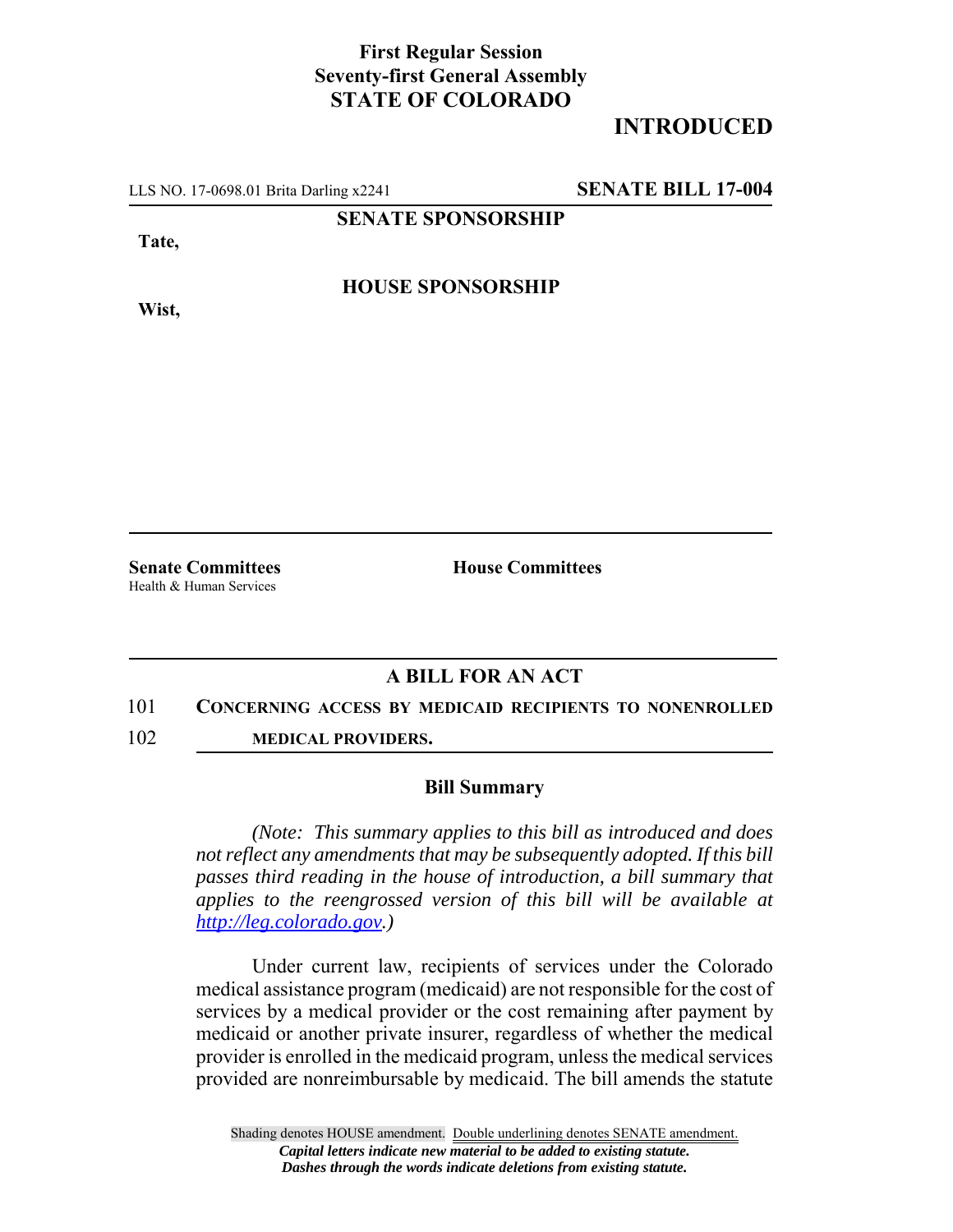## **First Regular Session Seventy-first General Assembly STATE OF COLORADO**

# **INTRODUCED**

LLS NO. 17-0698.01 Brita Darling x2241 **SENATE BILL 17-004**

**SENATE SPONSORSHIP**

**Tate,**

**HOUSE SPONSORSHIP**

**Wist,**

Health & Human Services

**Senate Committees House Committees** 

### **A BILL FOR AN ACT**

### 101 **CONCERNING ACCESS BY MEDICAID RECIPIENTS TO NONENROLLED**

102 **MEDICAL PROVIDERS.**

### **Bill Summary**

*(Note: This summary applies to this bill as introduced and does not reflect any amendments that may be subsequently adopted. If this bill passes third reading in the house of introduction, a bill summary that applies to the reengrossed version of this bill will be available at http://leg.colorado.gov.)*

Under current law, recipients of services under the Colorado medical assistance program (medicaid) are not responsible for the cost of services by a medical provider or the cost remaining after payment by medicaid or another private insurer, regardless of whether the medical provider is enrolled in the medicaid program, unless the medical services provided are nonreimbursable by medicaid. The bill amends the statute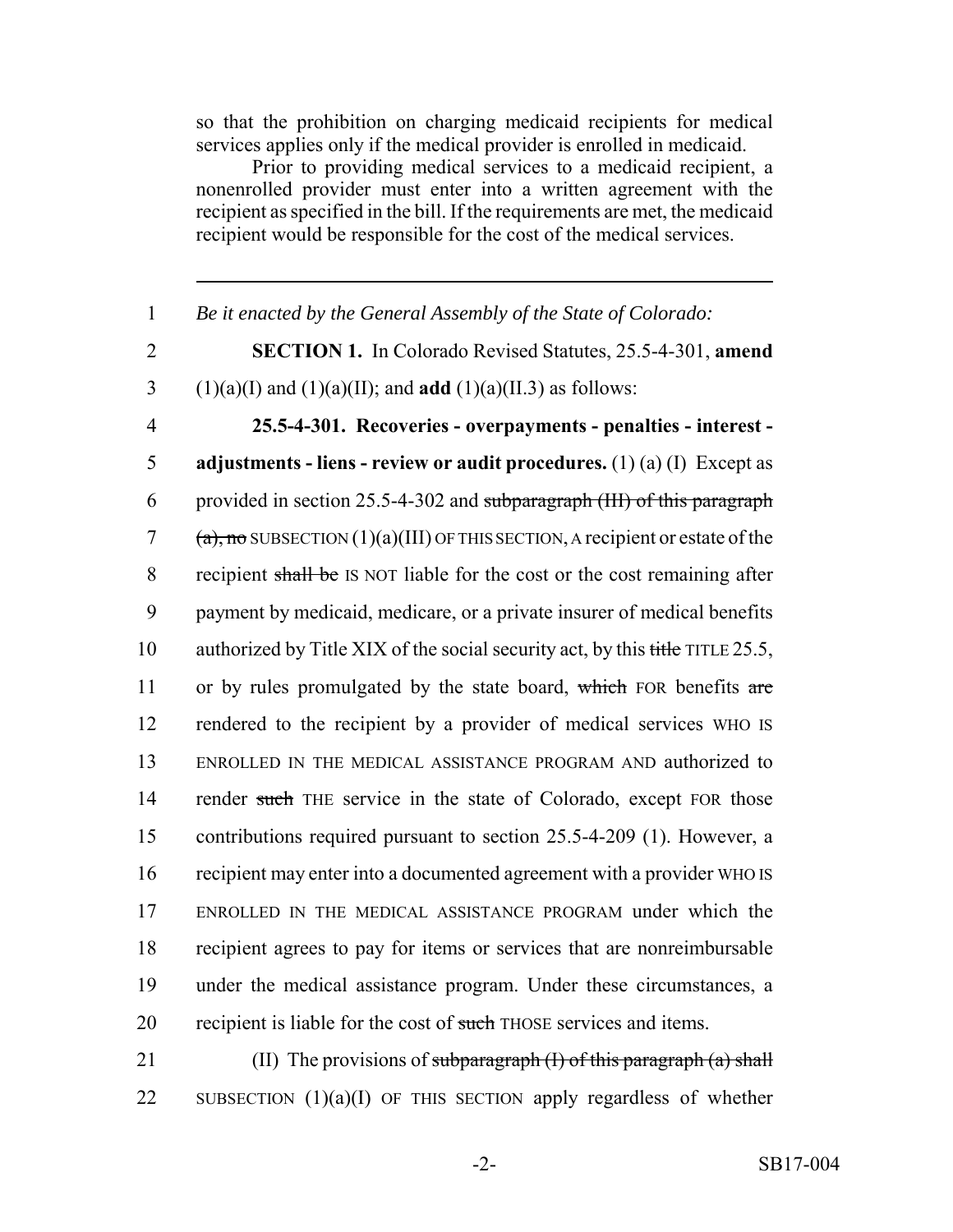so that the prohibition on charging medicaid recipients for medical services applies only if the medical provider is enrolled in medicaid.

Prior to providing medical services to a medicaid recipient, a nonenrolled provider must enter into a written agreement with the recipient as specified in the bill. If the requirements are met, the medicaid recipient would be responsible for the cost of the medical services.

1 *Be it enacted by the General Assembly of the State of Colorado:* 2 **SECTION 1.** In Colorado Revised Statutes, 25.5-4-301, **amend** 3 (1)(a)(I) and (1)(a)(II); and **add** (1)(a)(II.3) as follows:

 **25.5-4-301. Recoveries - overpayments - penalties - interest - adjustments - liens - review or audit procedures.** (1) (a) (I) Except as provided in section 25.5-4-302 and subparagraph (III) of this paragraph  $(a)$ , no SUBSECTION  $(1)(a)(III)$  OF THIS SECTION, A recipient or estate of the 8 recipient shall be IS NOT liable for the cost or the cost remaining after payment by medicaid, medicare, or a private insurer of medical benefits 10 authorized by Title XIX of the social security act, by this title TITLE 25.5, 11 or by rules promulgated by the state board, which FOR benefits are rendered to the recipient by a provider of medical services WHO IS ENROLLED IN THE MEDICAL ASSISTANCE PROGRAM AND authorized to 14 render such THE service in the state of Colorado, except FOR those contributions required pursuant to section 25.5-4-209 (1). However, a recipient may enter into a documented agreement with a provider WHO IS ENROLLED IN THE MEDICAL ASSISTANCE PROGRAM under which the recipient agrees to pay for items or services that are nonreimbursable under the medical assistance program. Under these circumstances, a 20 recipient is liable for the cost of such THOSE services and items.

21 (II) The provisions of subparagraph  $(I)$  of this paragraph  $(a)$  shall 22 SUBSECTION (1)(a)(I) OF THIS SECTION apply regardless of whether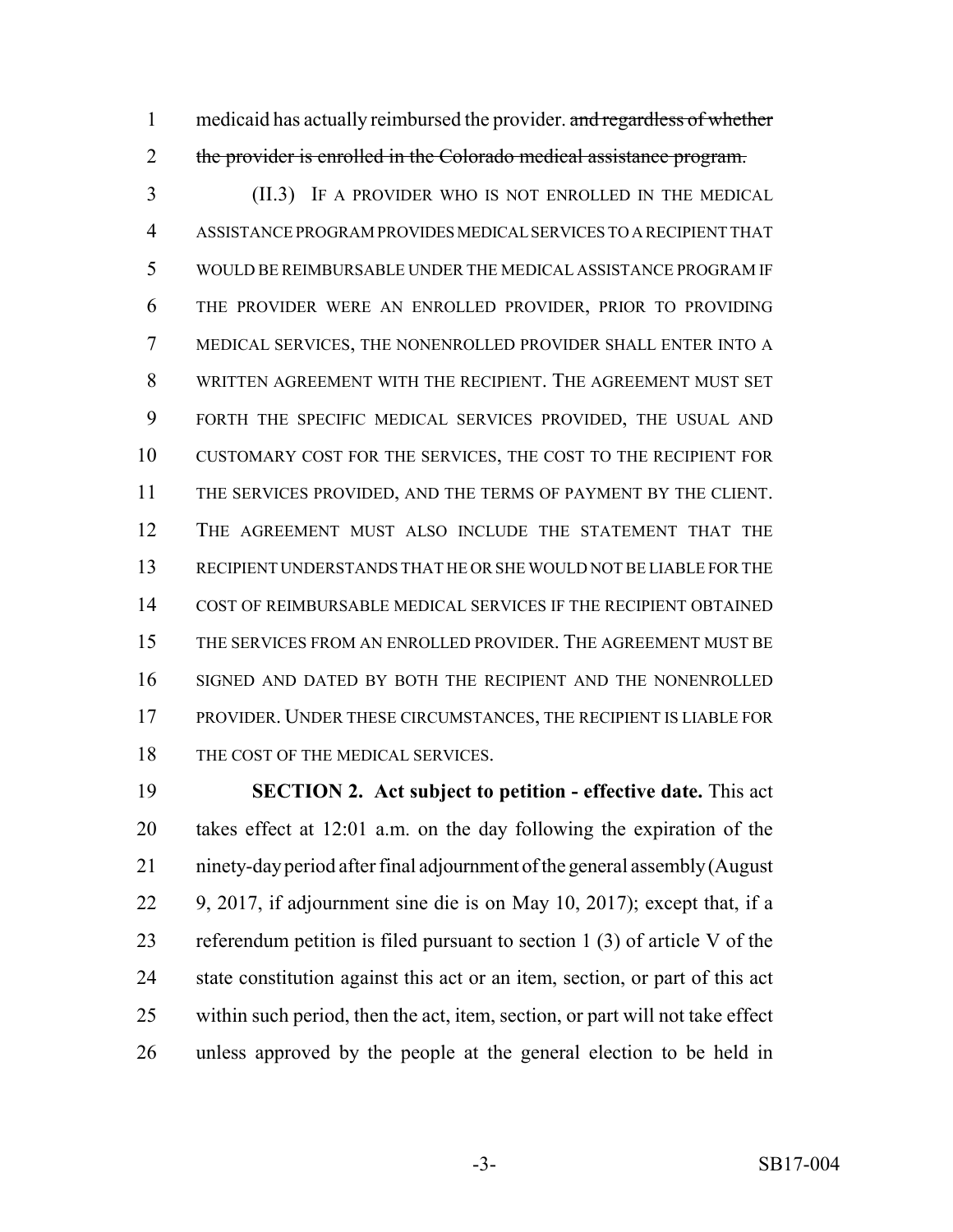1 medicaid has actually reimbursed the provider. and regardless of whether the provider is enrolled in the Colorado medical assistance program.

 (II.3) IF A PROVIDER WHO IS NOT ENROLLED IN THE MEDICAL ASSISTANCE PROGRAM PROVIDES MEDICAL SERVICES TO A RECIPIENT THAT WOULD BE REIMBURSABLE UNDER THE MEDICAL ASSISTANCE PROGRAM IF THE PROVIDER WERE AN ENROLLED PROVIDER, PRIOR TO PROVIDING MEDICAL SERVICES, THE NONENROLLED PROVIDER SHALL ENTER INTO A WRITTEN AGREEMENT WITH THE RECIPIENT. THE AGREEMENT MUST SET FORTH THE SPECIFIC MEDICAL SERVICES PROVIDED, THE USUAL AND CUSTOMARY COST FOR THE SERVICES, THE COST TO THE RECIPIENT FOR THE SERVICES PROVIDED, AND THE TERMS OF PAYMENT BY THE CLIENT. THE AGREEMENT MUST ALSO INCLUDE THE STATEMENT THAT THE RECIPIENT UNDERSTANDS THAT HE OR SHE WOULD NOT BE LIABLE FOR THE COST OF REIMBURSABLE MEDICAL SERVICES IF THE RECIPIENT OBTAINED THE SERVICES FROM AN ENROLLED PROVIDER. THE AGREEMENT MUST BE SIGNED AND DATED BY BOTH THE RECIPIENT AND THE NONENROLLED PROVIDER. UNDER THESE CIRCUMSTANCES, THE RECIPIENT IS LIABLE FOR 18 THE COST OF THE MEDICAL SERVICES.

 **SECTION 2. Act subject to petition - effective date.** This act takes effect at 12:01 a.m. on the day following the expiration of the ninety-day period after final adjournment of the general assembly (August 9, 2017, if adjournment sine die is on May 10, 2017); except that, if a referendum petition is filed pursuant to section 1 (3) of article V of the state constitution against this act or an item, section, or part of this act within such period, then the act, item, section, or part will not take effect unless approved by the people at the general election to be held in